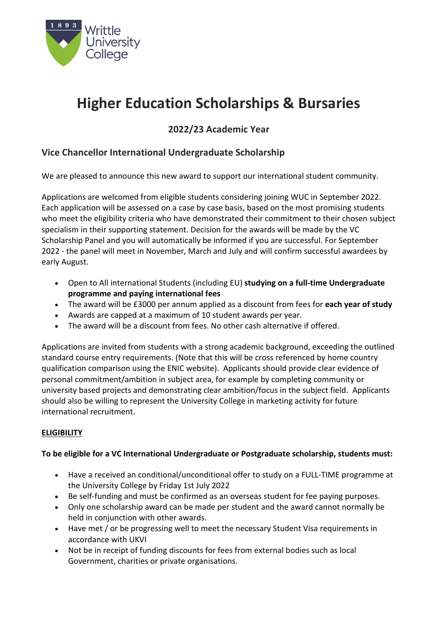

# **Higher Education Scholarships & Bursaries**

# **2022/23 Academic Year**

# **Vice Chancellor International Undergraduate Scholarship**

We are pleased to announce this new award to support our international student community.

Applications are welcomed from eligible students considering joining WUC in September 2022. Each application will be assessed on a case by case basis, based on the most promising students who meet the eligibility criteria who have demonstrated their commitment to their chosen subject specialism in their supporting statement. Decision for the awards will be made by the VC Scholarship Panel and you will automatically be informed if you are successful. For September 2022 - the panel will meet in November, March and July and will confirm successful awardees by early August.

- Open to All international Students (including EU) **studying on a full-time Undergraduate programme and paying international fees**
- The award will be £3000 per annum applied as a discount from fees for **each year of study**
- Awards are capped at a maximum of 10 student awards per year.
- The award will be a discount from fees. No other cash alternative if offered.

Applications are invited from students with a strong academic background, exceeding the outlined standard course entry requirements. (Note that this will be cross referenced by home country qualification comparison using the ENIC website). Applicants should provide clear evidence of personal commitment/ambition in subject area, for example by completing community or university based projects and demonstrating clear ambition/focus in the subject field. Applicants should also be willing to represent the University College in marketing activity for future international recruitment.

## **ELIGIBILITY**

#### **To be eligible for a VC International Undergraduate or Postgraduate scholarship, students must:**

- Have a received an conditional/unconditional offer to study on a FULL-TIME programme at the University College by Friday 1st July 2022
- Be self-funding and must be confirmed as an overseas student for fee paying purposes.
- Only one scholarship award can be made per student and the award cannot normally be held in conjunction with other awards.
- Have met / or be progressing well to meet the necessary Student Visa requirements in accordance with UKVI
- Not be in receipt of funding discounts for fees from external bodies such as local Government, charities or private organisations.